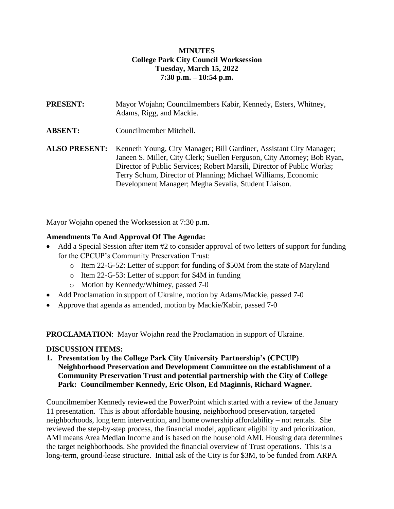## **MINUTES College Park City Council Worksession Tuesday, March 15, 2022 7:30 p.m. – 10:54 p.m.**

**PRESENT:** Mayor Wojahn; Councilmembers Kabir, Kennedy, Esters, Whitney, Adams, Rigg, and Mackie. **ABSENT:** Councilmember Mitchell. **ALSO PRESENT:** Kenneth Young, City Manager; Bill Gardiner, Assistant City Manager; Janeen S. Miller, City Clerk; Suellen Ferguson, City Attorney; Bob Ryan, Director of Public Services; Robert Marsili, Director of Public Works; Terry Schum, Director of Planning; Michael Williams, Economic Development Manager; Megha Sevalia, Student Liaison.

Mayor Wojahn opened the Worksession at 7:30 p.m.

## **Amendments To And Approval Of The Agenda:**

- Add a Special Session after item #2 to consider approval of two letters of support for funding for the CPCUP's Community Preservation Trust:
	- o Item 22-G-52: Letter of support for funding of \$50M from the state of Maryland
	- o Item 22-G-53: Letter of support for \$4M in funding
	- o Motion by Kennedy/Whitney, passed 7-0
- Add Proclamation in support of Ukraine, motion by Adams/Mackie, passed 7-0
- Approve that agenda as amended, motion by Mackie/Kabir, passed 7-0

**PROCLAMATION**: Mayor Wojahn read the Proclamation in support of Ukraine.

## **DISCUSSION ITEMS:**

**1. Presentation by the College Park City University Partnership's (CPCUP) Neighborhood Preservation and Development Committee on the establishment of a Community Preservation Trust and potential partnership with the City of College Park: Councilmember Kennedy, Eric Olson, Ed Maginnis, Richard Wagner.**

Councilmember Kennedy reviewed the PowerPoint which started with a review of the January 11 presentation. This is about affordable housing, neighborhood preservation, targeted neighborhoods, long term intervention, and home ownership affordability – not rentals. She reviewed the step-by-step process, the financial model, applicant eligibility and prioritization. AMI means Area Median Income and is based on the household AMI. Housing data determines the target neighborhoods. She provided the financial overview of Trust operations. This is a long-term, ground-lease structure. Initial ask of the City is for \$3M, to be funded from ARPA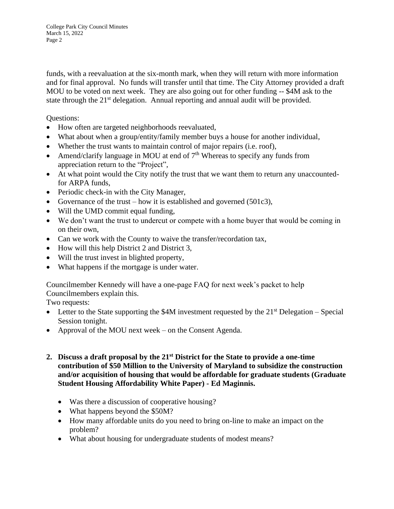funds, with a reevaluation at the six-month mark, when they will return with more information and for final approval. No funds will transfer until that time. The City Attorney provided a draft MOU to be voted on next week. They are also going out for other funding -- \$4M ask to the state through the 21<sup>st</sup> delegation. Annual reporting and annual audit will be provided.

Questions:

- How often are targeted neighborhoods reevaluated,
- What about when a group/entity/family member buys a house for another individual,
- Whether the trust wants to maintain control of major repairs (i.e. roof),
- Amend/clarify language in MOU at end of  $7<sup>th</sup>$  Whereas to specify any funds from appreciation return to the "Project",
- At what point would the City notify the trust that we want them to return any unaccountedfor ARPA funds,
- Periodic check-in with the City Manager,
- Governance of the trust how it is established and governed (501c3),
- Will the UMD commit equal funding,
- We don't want the trust to undercut or compete with a home buyer that would be coming in on their own,
- Can we work with the County to waive the transfer/recordation tax,
- How will this help District 2 and District 3,
- Will the trust invest in blighted property,
- What happens if the mortgage is under water.

Councilmember Kennedy will have a one-page FAQ for next week's packet to help Councilmembers explain this.

Two requests:

- Letter to the State supporting the \$4M investment requested by the  $21<sup>st</sup>$  Delegation Special Session tonight.
- Approval of the MOU next week on the Consent Agenda.
- **2. Discuss a draft proposal by the 21st District for the State to provide a one-time contribution of \$50 Million to the University of Maryland to subsidize the construction and/or acquisition of housing that would be affordable for graduate students (Graduate Student Housing Affordability White Paper) - Ed Maginnis.**
	- Was there a discussion of cooperative housing?
	- What happens beyond the \$50M?
	- How many affordable units do you need to bring on-line to make an impact on the problem?
	- What about housing for undergraduate students of modest means?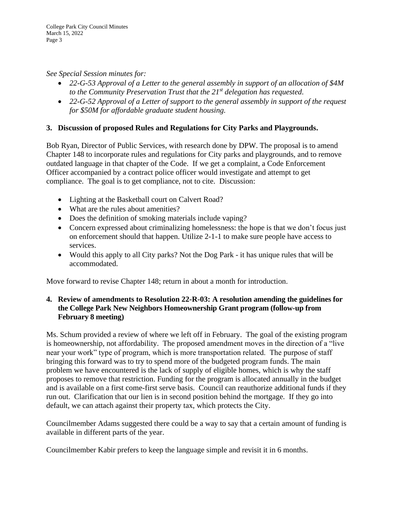*See Special Session minutes for:*

- *22-G-53 Approval of a Letter to the general assembly in support of an allocation of \$4M to the Community Preservation Trust that the 21st delegation has requested.*
- *22-G-52 Approval of a Letter of support to the general assembly in support of the request for \$50M for affordable graduate student housing.*

# **3. Discussion of proposed Rules and Regulations for City Parks and Playgrounds.**

Bob Ryan, Director of Public Services, with research done by DPW. The proposal is to amend Chapter 148 to incorporate rules and regulations for City parks and playgrounds, and to remove outdated language in that chapter of the Code. If we get a complaint, a Code Enforcement Officer accompanied by a contract police officer would investigate and attempt to get compliance. The goal is to get compliance, not to cite. Discussion:

- Lighting at the Basketball court on Calvert Road?
- What are the rules about amenities?
- Does the definition of smoking materials include vaping?
- Concern expressed about criminalizing homelessness: the hope is that we don't focus just on enforcement should that happen. Utilize 2-1-1 to make sure people have access to services.
- Would this apply to all City parks? Not the Dog Park it has unique rules that will be accommodated.

Move forward to revise Chapter 148; return in about a month for introduction.

## **4. Review of amendments to Resolution 22-R-03: A resolution amending the guidelines for the College Park New Neighbors Homeownership Grant program (follow-up from February 8 meeting)**

Ms. Schum provided a review of where we left off in February. The goal of the existing program is homeownership, not affordability. The proposed amendment moves in the direction of a "live near your work" type of program, which is more transportation related. The purpose of staff bringing this forward was to try to spend more of the budgeted program funds. The main problem we have encountered is the lack of supply of eligible homes, which is why the staff proposes to remove that restriction. Funding for the program is allocated annually in the budget and is available on a first come-first serve basis. Council can reauthorize additional funds if they run out. Clarification that our lien is in second position behind the mortgage. If they go into default, we can attach against their property tax, which protects the City.

Councilmember Adams suggested there could be a way to say that a certain amount of funding is available in different parts of the year.

Councilmember Kabir prefers to keep the language simple and revisit it in 6 months.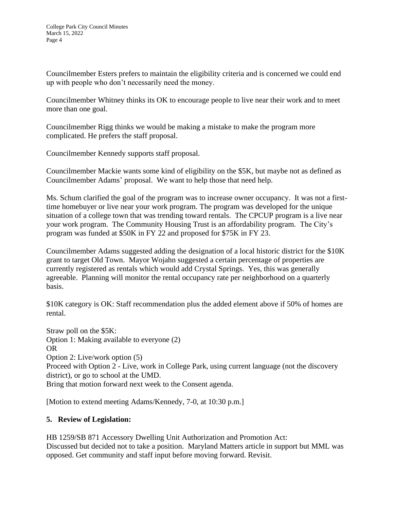Councilmember Esters prefers to maintain the eligibility criteria and is concerned we could end up with people who don't necessarily need the money.

Councilmember Whitney thinks its OK to encourage people to live near their work and to meet more than one goal.

Councilmember Rigg thinks we would be making a mistake to make the program more complicated. He prefers the staff proposal.

Councilmember Kennedy supports staff proposal.

Councilmember Mackie wants some kind of eligibility on the \$5K, but maybe not as defined as Councilmember Adams' proposal. We want to help those that need help.

Ms. Schum clarified the goal of the program was to increase owner occupancy. It was not a firsttime homebuyer or live near your work program. The program was developed for the unique situation of a college town that was trending toward rentals. The CPCUP program is a live near your work program. The Community Housing Trust is an affordability program. The City's program was funded at \$50K in FY 22 and proposed for \$75K in FY 23.

Councilmember Adams suggested adding the designation of a local historic district for the \$10K grant to target Old Town. Mayor Wojahn suggested a certain percentage of properties are currently registered as rentals which would add Crystal Springs. Yes, this was generally agreeable. Planning will monitor the rental occupancy rate per neighborhood on a quarterly basis.

\$10K category is OK: Staff recommendation plus the added element above if 50% of homes are rental.

Straw poll on the \$5K: Option 1: Making available to everyone (2) OR Option 2: Live/work option (5) Proceed with Option 2 - Live, work in College Park, using current language (not the discovery district), or go to school at the UMD. Bring that motion forward next week to the Consent agenda.

[Motion to extend meeting Adams/Kennedy, 7-0, at 10:30 p.m.]

## **5. Review of Legislation:**

HB 1259/SB 871 Accessory Dwelling Unit Authorization and Promotion Act: Discussed but decided not to take a position. Maryland Matters article in support but MML was opposed. Get community and staff input before moving forward. Revisit.